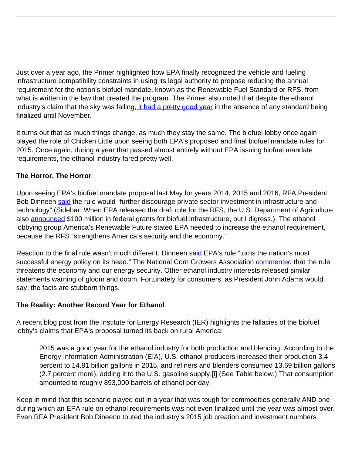Just over a year ago, the Primer highlighted how EPA finally recognized the vehicle and fueling infrastructure compatibility constraints in using its legal authority to propose reducing the annual requirement for the nation's biofuel mandate, known as the Renewable Fuel Standard or RFS, from what is written in the law that created the program. The Primer also noted that despite the ethanol industry's claim that the sky was falling[, it had a pretty good year](News/chicken-little-er-the-biofuel-industry-had-a-pretty-good-year.html) in the absence of any standard being finalized until November.

It turns out that as much things change, as much they stay the same. The biofuel lobby once again played the role of Chicken Little upon seeing both EPA's proposed and final biofuel mandate rules for 2015. Once again, during a year that passed almost entirely without EPA issuing biofuel mandate requirements, the ethanol industry fared pretty well.

## **The Horror, The Horror**

Upon seeing EPA's biofuel mandate proposal last May for years 2014, 2015 and 2016, RFA President Bob Dinneen [said](http://www.biofuelsdigest.com/bdigest/2015/05/29/epa-slashes-biofuels-targets-for-2014-2015-2016-under-renewable-fuel-standard/) the rule would "further discourage private sector investment in infrastructure and technology" (Sidebar: When EPA released the draft rule for the RFS, the U.S. Department of Agriculture also [announced](http://www.usda.gov/wps/portal/usda/usdamediafb?contentid=2015/05/0156.xml&printable=true&contentidonly=true) \$100 million in federal grants for biofuel infrastructure, but I digress.). The ethanol lobbying group America's Renewable Future stated EPA needed to increase the ethanol requirement, because the RFS "strengthens America's security and the economy."

Reaction to the final rule wasn't much different. Dinneen [said](http://www.ethanolrfa.org/2015/11/rfa-epas-final-rfs-rule-puts-future-of-biofuels-climate-policy-in-hands-of-oil-industry/) EPA's rule "turns the nation's most successful energy policy on its head." The National Corn Growers Association [commented](http://www.biofuelsdigest.com/bdigest/2015/11/30/epa-bumps-up-us-renewable-fuel-standard-volumes-for-2015-2016-in-final-ruling/) that the rule threatens the economy and our energy security. Other ethanol industry interests released similar statements warning of gloom and doom. Fortunately for consumers, as President John Adams would say, the facts are stubborn things.

## **The Reality: Another Record Year for Ethanol**

A recent blog post from the Institute for Energy Research (IER) highlights the fallacies of the biofuel lobby's claims that EPA's proposal turned its back on rural America:

2015 was a good year for the ethanol industry for both production and blending. According to the Energy Information Administration (EIA), U.S. ethanol producers increased their production 3.4 percent to 14.81 billion gallons in 2015, and refiners and blenders consumed 13.69 billion gallons (2.7 percent more), adding it to the U.S. gasoline supply.[i] (See Table below.) That consumption amounted to roughly 893,000 barrels of ethanol per day.

Keep in mind that this scenario played out in a year that was tough for commodities generally AND one during which an EPA rule on ethanol requirements was not even finalized until the year was almost over. Even RFA President Bob Dineenn touted the industry's 2015 job creation and investment numbers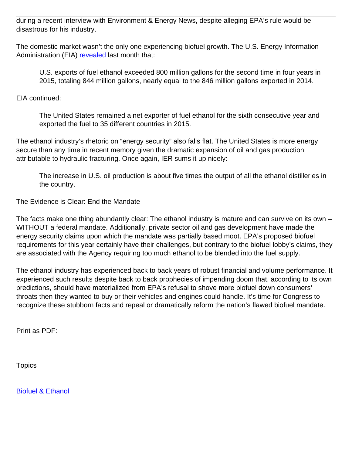during a recent interview with Environment & Energy News, despite alleging EPA's rule would be disastrous for his industry.

The domestic market wasn't the only one experiencing biofuel growth. The U.S. Energy Information Administration (EIA) [revealed](http://www.eia.gov/todayinenergy/detail.cfm?id=25312&src=email) last month that:

U.S. exports of fuel ethanol exceeded 800 million gallons for the second time in four years in 2015, totaling 844 million gallons, nearly equal to the 846 million gallons exported in 2014.

EIA continued:

The United States remained a net exporter of fuel ethanol for the sixth consecutive year and exported the fuel to 35 different countries in 2015.

The ethanol industry's rhetoric on "energy security" also falls flat. The United States is more energy secure than any time in recent memory given the dramatic expansion of oil and gas production attributable to hydraulic fracturing. Once again, IER sums it up nicely:

The increase in U.S. oil production is about five times the output of all the ethanol distilleries in the country.

The Evidence is Clear: End the Mandate

The facts make one thing abundantly clear: The ethanol industry is mature and can survive on its own – WITHOUT a federal mandate. Additionally, private sector oil and gas development have made the energy security claims upon which the mandate was partially based moot. EPA's proposed biofuel requirements for this year certainly have their challenges, but contrary to the biofuel lobby's claims, they are associated with the Agency requiring too much ethanol to be blended into the fuel supply.

The ethanol industry has experienced back to back years of robust financial and volume performance. It experienced such results despite back to back prophecies of impending doom that, according to its own predictions, should have materialized from EPA's refusal to shove more biofuel down consumers' throats then they wanted to buy or their vehicles and engines could handle. It's time for Congress to recognize these stubborn facts and repeal or dramatically reform the nation's flawed biofuel mandate.

Print as PDF:

**Topics** 

[Biofuel & Ethanol](/topic/biofuel-ethanol)